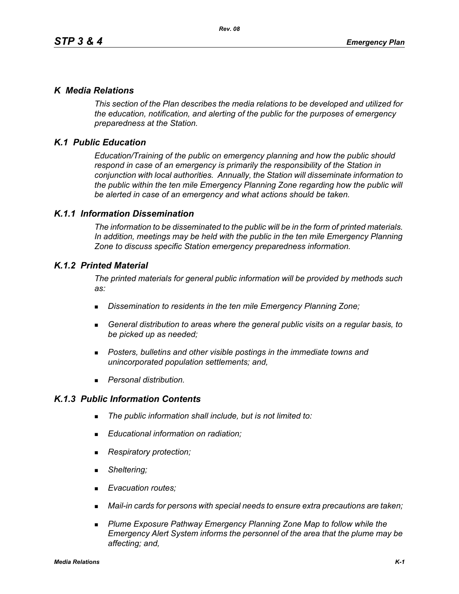## *K Media Relations*

*This section of the Plan describes the media relations to be developed and utilized for the education, notification, and alerting of the public for the purposes of emergency preparedness at the Station.*

# *K.1 Public Education*

*Education/Training of the public on emergency planning and how the public should respond in case of an emergency is primarily the responsibility of the Station in conjunction with local authorities. Annually, the Station will disseminate information to the public within the ten mile Emergency Planning Zone regarding how the public will be alerted in case of an emergency and what actions should be taken.* 

## *K.1.1 Information Dissemination*

*The information to be disseminated to the public will be in the form of printed materials. In addition, meetings may be held with the public in the ten mile Emergency Planning Zone to discuss specific Station emergency preparedness information.* 

## *K.1.2 Printed Material*

*The printed materials for general public information will be provided by methods such as:* 

- *Dissemination to residents in the ten mile Emergency Planning Zone;*
- *General distribution to areas where the general public visits on a regular basis, to be picked up as needed;*
- *Posters, bulletins and other visible postings in the immediate towns and unincorporated population settlements; and,*
- *Personal distribution.*

## *K.1.3 Public Information Contents*

- *The public information shall include, but is not limited to:*
- *Educational information on radiation;*
- *Respiratory protection;*
- *Sheltering;*
- *Evacuation routes;*
- *Mail-in cards for persons with special needs to ensure extra precautions are taken;*
- **Plume Exposure Pathway Emergency Planning Zone Map to follow while the** *Emergency Alert System informs the personnel of the area that the plume may be affecting; and,*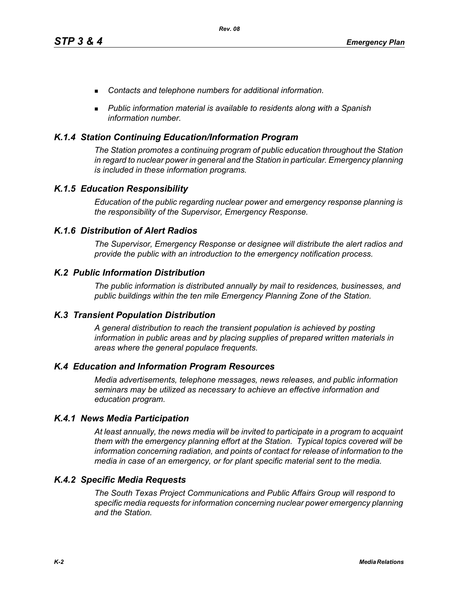- *Contacts and telephone numbers for additional information.*
- *Public information material is available to residents along with a Spanish information number.*

### *K.1.4 Station Continuing Education/Information Program*

*The Station promotes a continuing program of public education throughout the Station in regard to nuclear power in general and the Station in particular. Emergency planning is included in these information programs.* 

## *K.1.5 Education Responsibility*

*Education of the public regarding nuclear power and emergency response planning is the responsibility of the Supervisor, Emergency Response.* 

### *K.1.6 Distribution of Alert Radios*

*The Supervisor, Emergency Response or designee will distribute the alert radios and provide the public with an introduction to the emergency notification process.* 

### *K.2 Public Information Distribution*

*The public information is distributed annually by mail to residences, businesses, and public buildings within the ten mile Emergency Planning Zone of the Station.*

### *K.3 Transient Population Distribution*

*A general distribution to reach the transient population is achieved by posting information in public areas and by placing supplies of prepared written materials in areas where the general populace frequents.* 

### *K.4 Education and Information Program Resources*

*Media advertisements, telephone messages, news releases, and public information seminars may be utilized as necessary to achieve an effective information and education program.* 

### *K.4.1 News Media Participation*

*At least annually, the news media will be invited to participate in a program to acquaint them with the emergency planning effort at the Station. Typical topics covered will be information concerning radiation, and points of contact for release of information to the media in case of an emergency, or for plant specific material sent to the media.*

### *K.4.2 Specific Media Requests*

*The South Texas Project Communications and Public Affairs Group will respond to specific media requests for information concerning nuclear power emergency planning and the Station.*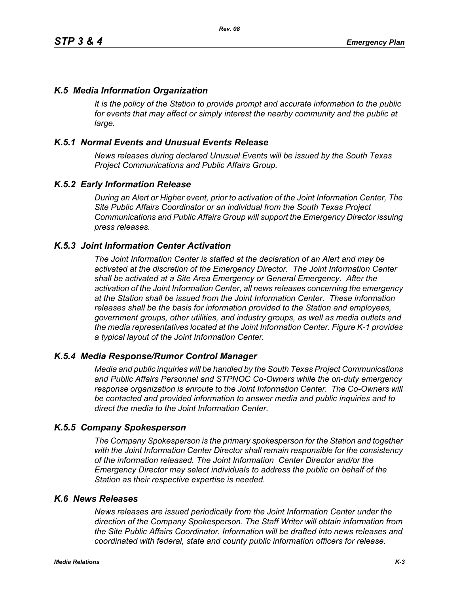## *K.5 Media Information Organization*

*It is the policy of the Station to provide prompt and accurate information to the public*  for events that may affect or simply interest the nearby community and the public at *large.* 

## *K.5.1 Normal Events and Unusual Events Release*

*News releases during declared Unusual Events will be issued by the South Texas Project Communications and Public Affairs Group.* 

### *K.5.2 Early Information Release*

*During an Alert or Higher event, prior to activation of the Joint Information Center, The Site Public Affairs Coordinator or an individual from the South Texas Project Communications and Public Affairs Group will support the Emergency Director issuing press releases.* 

#### *K.5.3 Joint Information Center Activation*

*The Joint Information Center is staffed at the declaration of an Alert and may be activated at the discretion of the Emergency Director. The Joint Information Center shall be activated at a Site Area Emergency or General Emergency. After the activation of the Joint Information Center, all news releases concerning the emergency at the Station shall be issued from the Joint Information Center. These information releases shall be the basis for information provided to the Station and employees, government groups, other utilities, and industry groups, as well as media outlets and the media representatives located at the Joint Information Center. Figure K-1 provides a typical layout of the Joint Information Center.* 

#### *K.5.4 Media Response/Rumor Control Manager*

*Media and public inquiries will be handled by the South Texas Project Communications and Public Affairs Personnel and STPNOC Co-Owners while the on-duty emergency response organization is enroute to the Joint Information Center. The Co-Owners will be contacted and provided information to answer media and public inquiries and to direct the media to the Joint Information Center.*

#### *K.5.5 Company Spokesperson*

*The Company Spokesperson is the primary spokesperson for the Station and together with the Joint Information Center Director shall remain responsible for the consistency of the information released. The Joint Information Center Director and/or the Emergency Director may select individuals to address the public on behalf of the Station as their respective expertise is needed.* 

#### *K.6 News Releases*

*News releases are issued periodically from the Joint Information Center under the direction of the Company Spokesperson. The Staff Writer will obtain information from the Site Public Affairs Coordinator. Information will be drafted into news releases and coordinated with federal, state and county public information officers for release.*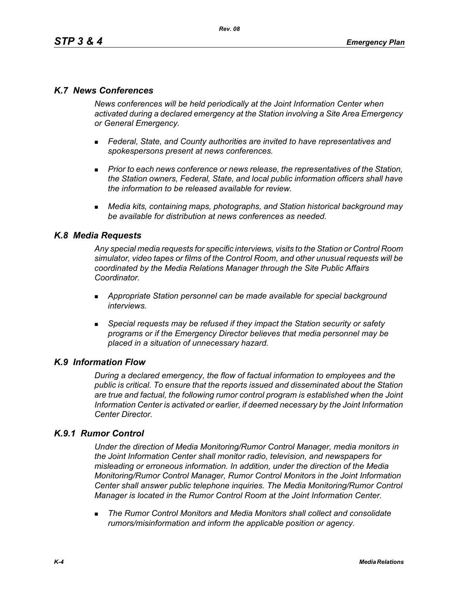## *K.7 News Conferences*

*News conferences will be held periodically at the Joint Information Center when activated during a declared emergency at the Station involving a Site Area Emergency or General Emergency.* 

- *Federal, State, and County authorities are invited to have representatives and spokespersons present at news conferences.*
- **Prior to each news conference or news release, the representatives of the Station,** *the Station owners, Federal, State, and local public information officers shall have the information to be released available for review.*
- *Media kits, containing maps, photographs, and Station historical background may be available for distribution at news conferences as needed.*

## *K.8 Media Requests*

*Any special media requests for specific interviews, visits to the Station or Control Room simulator, video tapes or films of the Control Room, and other unusual requests will be coordinated by the Media Relations Manager through the Site Public Affairs Coordinator.* 

- *Appropriate Station personnel can be made available for special background interviews.*
- *Special requests may be refused if they impact the Station security or safety programs or if the Emergency Director believes that media personnel may be placed in a situation of unnecessary hazard.*

### *K.9 Information Flow*

*During a declared emergency, the flow of factual information to employees and the public is critical. To ensure that the reports issued and disseminated about the Station are true and factual, the following rumor control program is established when the Joint Information Center is activated or earlier, if deemed necessary by the Joint Information Center Director.* 

## *K.9.1 Rumor Control*

*Under the direction of Media Monitoring/Rumor Control Manager, media monitors in the Joint Information Center shall monitor radio, television, and newspapers for misleading or erroneous information. In addition, under the direction of the Media Monitoring/Rumor Control Manager, Rumor Control Monitors in the Joint Information Center shall answer public telephone inquiries. The Media Monitoring/Rumor Control Manager is located in the Rumor Control Room at the Joint Information Center.* 

 *The Rumor Control Monitors and Media Monitors shall collect and consolidate rumors/misinformation and inform the applicable position or agency.*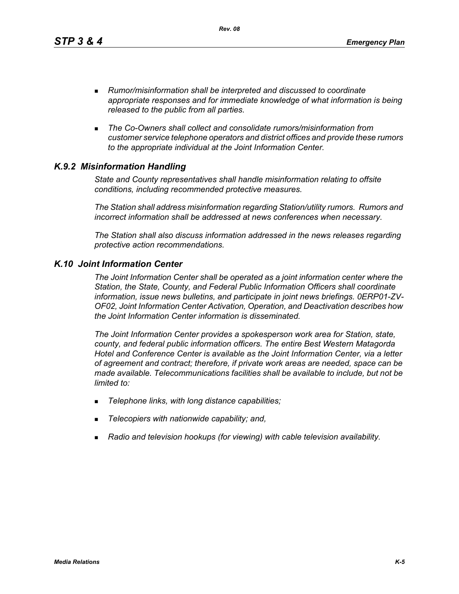*Rev. 08*

- *Rumor/misinformation shall be interpreted and discussed to coordinate appropriate responses and for immediate knowledge of what information is being released to the public from all parties.*
- *The Co-Owners shall collect and consolidate rumors/misinformation from customer service telephone operators and district offices and provide these rumors to the appropriate individual at the Joint Information Center.*

# *K.9.2 Misinformation Handling*

*State and County representatives shall handle misinformation relating to offsite conditions, including recommended protective measures.* 

*The Station shall address misinformation regarding Station/utility rumors. Rumors and incorrect information shall be addressed at news conferences when necessary.* 

*The Station shall also discuss information addressed in the news releases regarding protective action recommendations.* 

## *K.10 Joint Information Center*

*The Joint Information Center shall be operated as a joint information center where the Station, the State, County, and Federal Public Information Officers shall coordinate information, issue news bulletins, and participate in joint news briefings. 0ERP01-ZV-OF02, Joint Information Center Activation, Operation, and Deactivation describes how the Joint Information Center information is disseminated.*

*The Joint Information Center provides a spokesperson work area for Station, state, county, and federal public information officers. The entire Best Western Matagorda Hotel and Conference Center is available as the Joint Information Center, via a letter of agreement and contract; therefore, if private work areas are needed, space can be made available. Telecommunications facilities shall be available to include, but not be limited to:* 

- *Telephone links, with long distance capabilities;*
- *Telecopiers with nationwide capability; and,*
- *Radio and television hookups (for viewing) with cable television availability.*